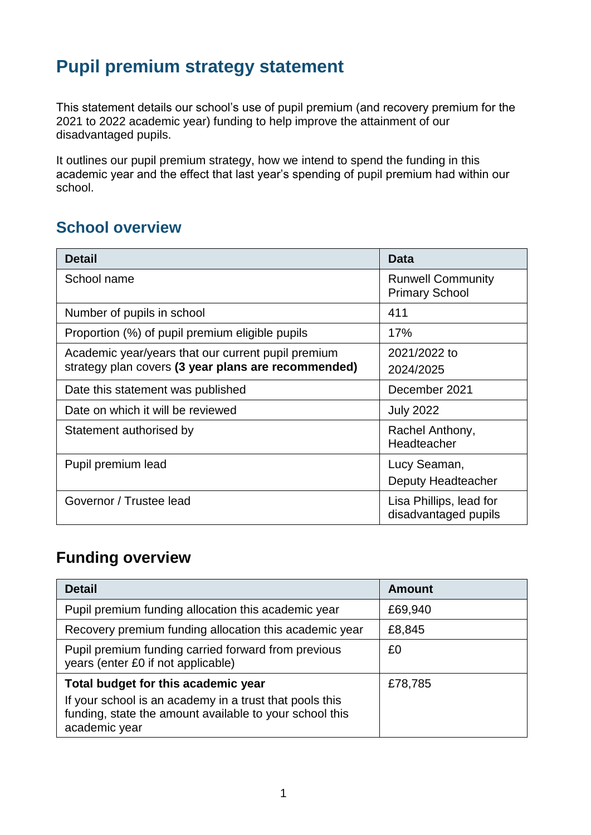# **Pupil premium strategy statement**

This statement details our school's use of pupil premium (and recovery premium for the 2021 to 2022 academic year) funding to help improve the attainment of our disadvantaged pupils.

It outlines our pupil premium strategy, how we intend to spend the funding in this academic year and the effect that last year's spending of pupil premium had within our school.

#### **School overview**

| <b>Detail</b>                                                                                             | Data                                              |
|-----------------------------------------------------------------------------------------------------------|---------------------------------------------------|
| School name                                                                                               | <b>Runwell Community</b><br><b>Primary School</b> |
| Number of pupils in school                                                                                | 411                                               |
| Proportion (%) of pupil premium eligible pupils                                                           | 17%                                               |
| Academic year/years that our current pupil premium<br>strategy plan covers (3 year plans are recommended) | 2021/2022 to<br>2024/2025                         |
| Date this statement was published                                                                         | December 2021                                     |
| Date on which it will be reviewed                                                                         | <b>July 2022</b>                                  |
| Statement authorised by                                                                                   | Rachel Anthony,<br>Headteacher                    |
| Pupil premium lead                                                                                        | Lucy Seaman,<br>Deputy Headteacher                |
| Governor / Trustee lead                                                                                   | Lisa Phillips, lead for<br>disadvantaged pupils   |

#### **Funding overview**

| <b>Detail</b>                                                                                                                       | <b>Amount</b> |
|-------------------------------------------------------------------------------------------------------------------------------------|---------------|
| Pupil premium funding allocation this academic year                                                                                 | £69,940       |
| Recovery premium funding allocation this academic year                                                                              | £8,845        |
| Pupil premium funding carried forward from previous<br>years (enter £0 if not applicable)                                           | £0            |
| Total budget for this academic year                                                                                                 | £78,785       |
| If your school is an academy in a trust that pools this<br>funding, state the amount available to your school this<br>academic year |               |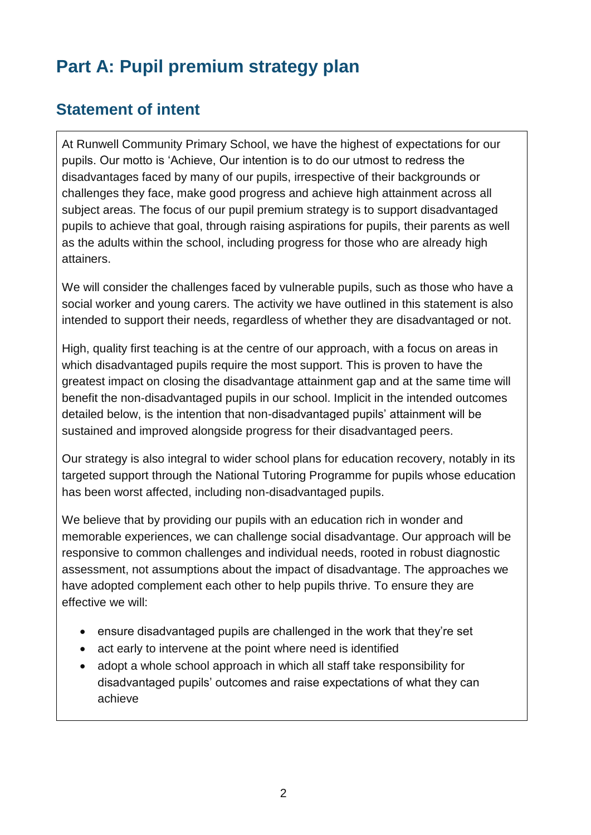# **Part A: Pupil premium strategy plan**

#### **Statement of intent**

At Runwell Community Primary School, we have the highest of expectations for our pupils. Our motto is 'Achieve, Our intention is to do our utmost to redress the disadvantages faced by many of our pupils, irrespective of their backgrounds or challenges they face, make good progress and achieve high attainment across all subject areas. The focus of our pupil premium strategy is to support disadvantaged pupils to achieve that goal, through raising aspirations for pupils, their parents as well as the adults within the school, including progress for those who are already high attainers.

We will consider the challenges faced by vulnerable pupils, such as those who have a social worker and young carers. The activity we have outlined in this statement is also intended to support their needs, regardless of whether they are disadvantaged or not.

High, quality first teaching is at the centre of our approach, with a focus on areas in which disadvantaged pupils require the most support. This is proven to have the greatest impact on closing the disadvantage attainment gap and at the same time will benefit the non-disadvantaged pupils in our school. Implicit in the intended outcomes detailed below, is the intention that non-disadvantaged pupils' attainment will be sustained and improved alongside progress for their disadvantaged peers.

Our strategy is also integral to wider school plans for education recovery, notably in its targeted support through the National Tutoring Programme for pupils whose education has been worst affected, including non-disadvantaged pupils.

We believe that by providing our pupils with an education rich in wonder and memorable experiences, we can challenge social disadvantage. Our approach will be responsive to common challenges and individual needs, rooted in robust diagnostic assessment, not assumptions about the impact of disadvantage. The approaches we have adopted complement each other to help pupils thrive. To ensure they are effective we will:

- ensure disadvantaged pupils are challenged in the work that they're set
- act early to intervene at the point where need is identified
- adopt a whole school approach in which all staff take responsibility for disadvantaged pupils' outcomes and raise expectations of what they can achieve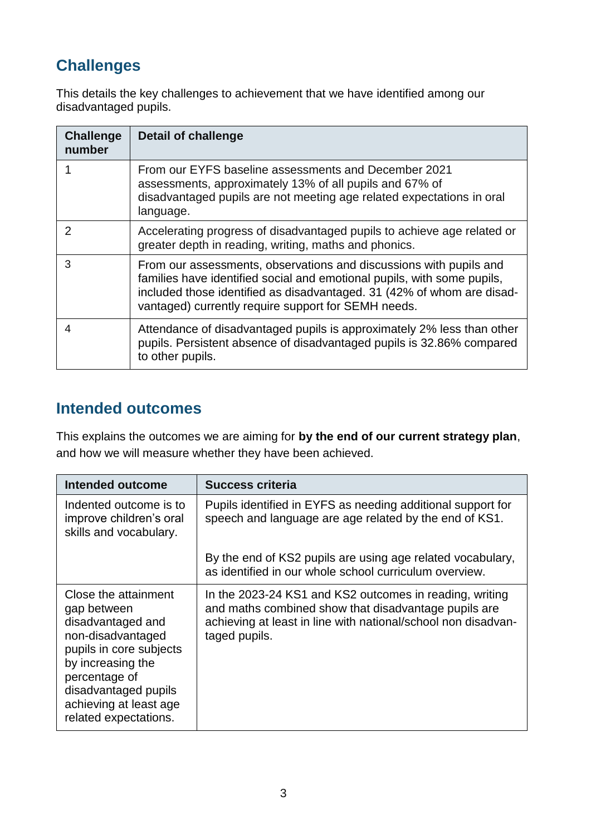## **Challenges**

This details the key challenges to achievement that we have identified among our disadvantaged pupils.

| <b>Challenge</b><br>number | <b>Detail of challenge</b>                                                                                                                                                                                                                                                     |
|----------------------------|--------------------------------------------------------------------------------------------------------------------------------------------------------------------------------------------------------------------------------------------------------------------------------|
|                            | From our EYFS baseline assessments and December 2021<br>assessments, approximately 13% of all pupils and 67% of<br>disadvantaged pupils are not meeting age related expectations in oral<br>language.                                                                          |
| $\mathcal{P}$              | Accelerating progress of disadvantaged pupils to achieve age related or<br>greater depth in reading, writing, maths and phonics.                                                                                                                                               |
| 3                          | From our assessments, observations and discussions with pupils and<br>families have identified social and emotional pupils, with some pupils,<br>included those identified as disadvantaged. 31 (42% of whom are disad-<br>vantaged) currently require support for SEMH needs. |
| 4                          | Attendance of disadvantaged pupils is approximately 2% less than other<br>pupils. Persistent absence of disadvantaged pupils is 32.86% compared<br>to other pupils.                                                                                                            |

#### **Intended outcomes**

This explains the outcomes we are aiming for **by the end of our current strategy plan**, and how we will measure whether they have been achieved.

| <b>Intended outcome</b>                                                                                                                                                                                                   | <b>Success criteria</b>                                                                                                                                                                           |
|---------------------------------------------------------------------------------------------------------------------------------------------------------------------------------------------------------------------------|---------------------------------------------------------------------------------------------------------------------------------------------------------------------------------------------------|
| Indented outcome is to<br>improve children's oral<br>skills and vocabulary.                                                                                                                                               | Pupils identified in EYFS as needing additional support for<br>speech and language are age related by the end of KS1.                                                                             |
|                                                                                                                                                                                                                           | By the end of KS2 pupils are using age related vocabulary,<br>as identified in our whole school curriculum overview.                                                                              |
| Close the attainment<br>gap between<br>disadvantaged and<br>non-disadvantaged<br>pupils in core subjects<br>by increasing the<br>percentage of<br>disadvantaged pupils<br>achieving at least age<br>related expectations. | In the 2023-24 KS1 and KS2 outcomes in reading, writing<br>and maths combined show that disadvantage pupils are<br>achieving at least in line with national/school non disadvan-<br>taged pupils. |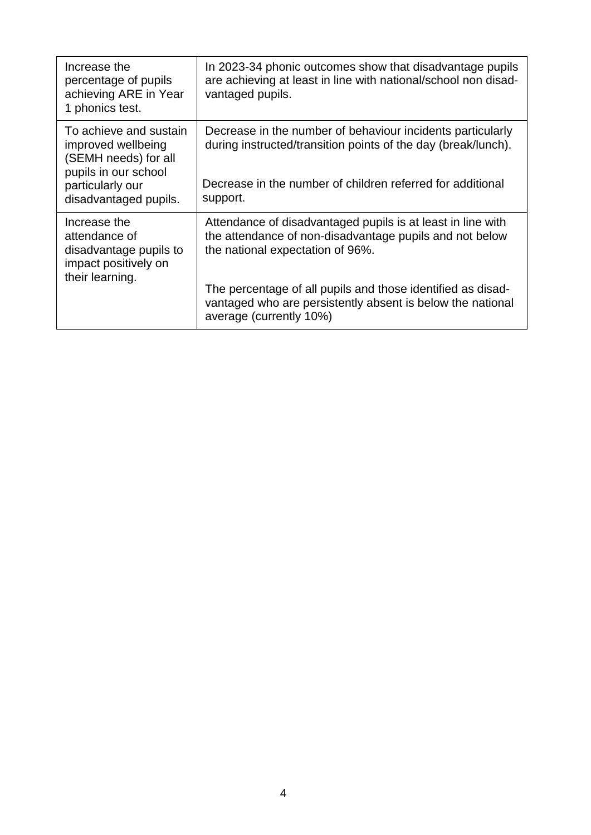| Increase the<br>percentage of pupils<br>achieving ARE in Year<br>1 phonics test.                                                          | In 2023-34 phonic outcomes show that disadvantage pupils<br>are achieving at least in line with national/school non disad-<br>vantaged pupils.                                                                                                                                                                     |
|-------------------------------------------------------------------------------------------------------------------------------------------|--------------------------------------------------------------------------------------------------------------------------------------------------------------------------------------------------------------------------------------------------------------------------------------------------------------------|
| To achieve and sustain<br>improved wellbeing<br>(SEMH needs) for all<br>pupils in our school<br>particularly our<br>disadvantaged pupils. | Decrease in the number of behaviour incidents particularly<br>during instructed/transition points of the day (break/lunch).<br>Decrease in the number of children referred for additional<br>support.                                                                                                              |
| Increase the<br>attendance of<br>disadvantage pupils to<br>impact positively on<br>their learning.                                        | Attendance of disadvantaged pupils is at least in line with<br>the attendance of non-disadvantage pupils and not below<br>the national expectation of 96%.<br>The percentage of all pupils and those identified as disad-<br>vantaged who are persistently absent is below the national<br>average (currently 10%) |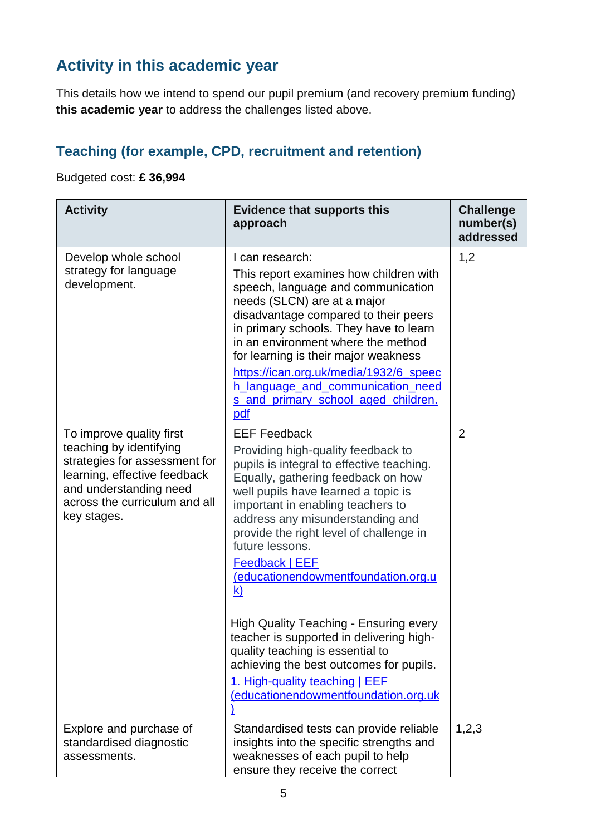### **Activity in this academic year**

This details how we intend to spend our pupil premium (and recovery premium funding) **this academic year** to address the challenges listed above.

#### **Teaching (for example, CPD, recruitment and retention)**

#### Budgeted cost: **£ 36,994**

| <b>Activity</b>                                                                                                                                                                                | <b>Evidence that supports this</b><br>approach                                                                                                                                                                                                                                                                                                                                                                                                                                                                                                                                         | <b>Challenge</b><br>number(s)<br>addressed |
|------------------------------------------------------------------------------------------------------------------------------------------------------------------------------------------------|----------------------------------------------------------------------------------------------------------------------------------------------------------------------------------------------------------------------------------------------------------------------------------------------------------------------------------------------------------------------------------------------------------------------------------------------------------------------------------------------------------------------------------------------------------------------------------------|--------------------------------------------|
| Develop whole school<br>strategy for language<br>development.                                                                                                                                  | I can research:<br>This report examines how children with<br>speech, language and communication<br>needs (SLCN) are at a major<br>disadvantage compared to their peers<br>in primary schools. They have to learn<br>in an environment where the method<br>for learning is their major weakness<br>https://ican.org.uk/media/1932/6_speec<br>h language and communication need<br>s_and_primary_school_aged_children.<br>pdf                                                                                                                                                            | 1,2                                        |
| To improve quality first<br>teaching by identifying<br>strategies for assessment for<br>learning, effective feedback<br>and understanding need<br>across the curriculum and all<br>key stages. | <b>EEF Feedback</b><br>Providing high-quality feedback to<br>pupils is integral to effective teaching.<br>Equally, gathering feedback on how<br>well pupils have learned a topic is<br>important in enabling teachers to<br>address any misunderstanding and<br>provide the right level of challenge in<br>future lessons.<br><b>Feedback   EEF</b><br>(educationendowmentfoundation.org.u<br>$\mathbf{k}$<br><b>High Quality Teaching - Ensuring every</b><br>teacher is supported in delivering high-<br>quality teaching is essential to<br>achieving the best outcomes for pupils. | $\overline{2}$                             |
|                                                                                                                                                                                                | 1. High-quality teaching   EEF<br>(educationendowmentfoundation.org.uk                                                                                                                                                                                                                                                                                                                                                                                                                                                                                                                 |                                            |
| Explore and purchase of<br>standardised diagnostic<br>assessments.                                                                                                                             | Standardised tests can provide reliable<br>insights into the specific strengths and<br>weaknesses of each pupil to help<br>ensure they receive the correct                                                                                                                                                                                                                                                                                                                                                                                                                             | 1,2,3                                      |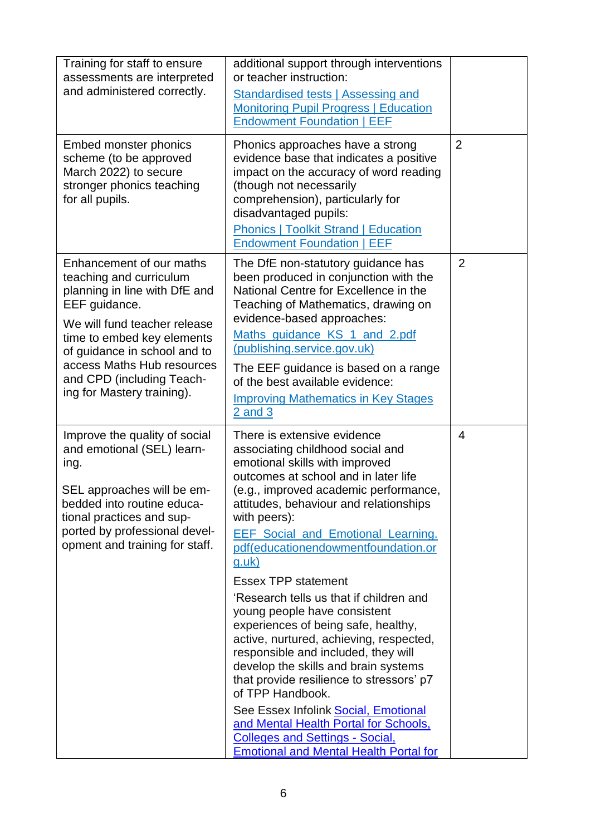| Training for staff to ensure<br>assessments are interpreted<br>and administered correctly.                                                                                                                                                                                                   | additional support through interventions<br>or teacher instruction:<br>Standardised tests   Assessing and<br><b>Monitoring Pupil Progress   Education</b><br><b>Endowment Foundation   EEF</b>                                                                                                                                                                                                                                                                                                                                                                                                                                                                                                                                                                                                                                                                         |                |
|----------------------------------------------------------------------------------------------------------------------------------------------------------------------------------------------------------------------------------------------------------------------------------------------|------------------------------------------------------------------------------------------------------------------------------------------------------------------------------------------------------------------------------------------------------------------------------------------------------------------------------------------------------------------------------------------------------------------------------------------------------------------------------------------------------------------------------------------------------------------------------------------------------------------------------------------------------------------------------------------------------------------------------------------------------------------------------------------------------------------------------------------------------------------------|----------------|
| Embed monster phonics<br>scheme (to be approved<br>March 2022) to secure<br>stronger phonics teaching<br>for all pupils.                                                                                                                                                                     | Phonics approaches have a strong<br>evidence base that indicates a positive<br>impact on the accuracy of word reading<br>(though not necessarily<br>comprehension), particularly for<br>disadvantaged pupils:<br><b>Phonics   Toolkit Strand   Education</b><br><b>Endowment Foundation   EEF</b>                                                                                                                                                                                                                                                                                                                                                                                                                                                                                                                                                                      | $\overline{2}$ |
| Enhancement of our maths<br>teaching and curriculum<br>planning in line with DfE and<br>EEF guidance.<br>We will fund teacher release<br>time to embed key elements<br>of guidance in school and to<br>access Maths Hub resources<br>and CPD (including Teach-<br>ing for Mastery training). | The DfE non-statutory guidance has<br>been produced in conjunction with the<br>National Centre for Excellence in the<br>Teaching of Mathematics, drawing on<br>evidence-based approaches:<br>Maths guidance KS 1 and 2.pdf<br>(publishing.service.gov.uk)<br>The EEF guidance is based on a range<br>of the best available evidence:<br><b>Improving Mathematics in Key Stages</b><br>$2$ and $3$                                                                                                                                                                                                                                                                                                                                                                                                                                                                      | $\overline{2}$ |
| Improve the quality of social<br>and emotional (SEL) learn-<br>ing.<br>SEL approaches will be em-<br>bedded into routine educa-<br>tional practices and sup-<br>ported by professional devel-<br>opment and training for staff.                                                              | There is extensive evidence<br>associating childhood social and<br>emotional skills with improved<br>outcomes at school and in later life<br>(e.g., improved academic performance,<br>attitudes, behaviour and relationships<br>with peers):<br><b>EEF Social and Emotional Learning.</b><br>pdf(educationendowmentfoundation.or<br><u>g.uk)</u><br><b>Essex TPP statement</b><br>'Research tells us that if children and<br>young people have consistent<br>experiences of being safe, healthy,<br>active, nurtured, achieving, respected,<br>responsible and included, they will<br>develop the skills and brain systems<br>that provide resilience to stressors' p7<br>of TPP Handbook.<br>See Essex Infolink Social, Emotional<br>and Mental Health Portal for Schools,<br><b>Colleges and Settings - Social,</b><br><b>Emotional and Mental Health Portal for</b> | 4              |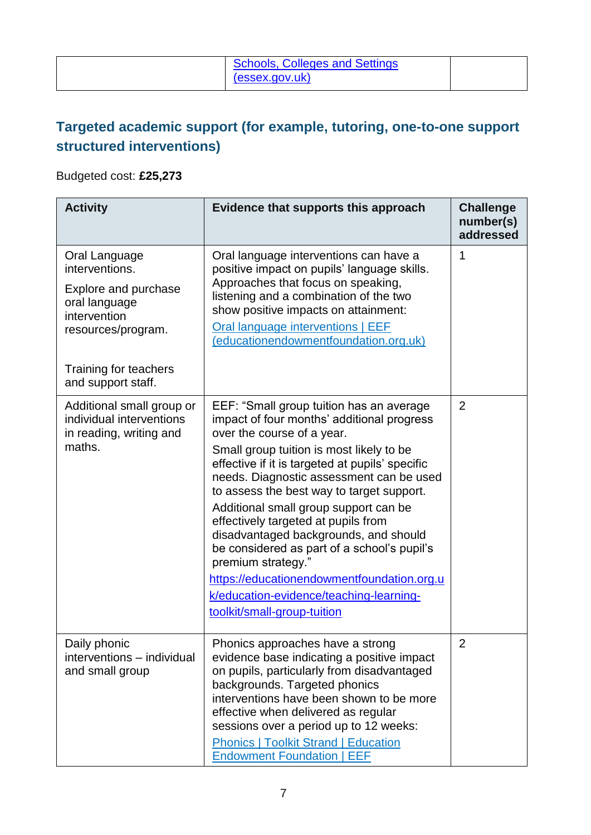| <b>Schools, Colleges and Settings</b><br>(essex.gov.uk) |  |
|---------------------------------------------------------|--|
|---------------------------------------------------------|--|

#### **Targeted academic support (for example, tutoring, one-to-one support structured interventions)**

#### Budgeted cost: **£25,273**

| <b>Activity</b>                                                                                                                                               | Evidence that supports this approach                                                                                                                                                                                                                                                                                                                                                                                                                                                                                                                                                                                               | <b>Challenge</b><br>number(s)<br>addressed |
|---------------------------------------------------------------------------------------------------------------------------------------------------------------|------------------------------------------------------------------------------------------------------------------------------------------------------------------------------------------------------------------------------------------------------------------------------------------------------------------------------------------------------------------------------------------------------------------------------------------------------------------------------------------------------------------------------------------------------------------------------------------------------------------------------------|--------------------------------------------|
| Oral Language<br>interventions.<br>Explore and purchase<br>oral language<br>intervention<br>resources/program.<br>Training for teachers<br>and support staff. | Oral language interventions can have a<br>positive impact on pupils' language skills.<br>Approaches that focus on speaking,<br>listening and a combination of the two<br>show positive impacts on attainment:<br>Oral language interventions   EEF<br>(educationendowmentfoundation.org.uk)                                                                                                                                                                                                                                                                                                                                        | 1                                          |
| Additional small group or<br>individual interventions<br>in reading, writing and<br>maths.                                                                    | EEF: "Small group tuition has an average<br>impact of four months' additional progress<br>over the course of a year.<br>Small group tuition is most likely to be<br>effective if it is targeted at pupils' specific<br>needs. Diagnostic assessment can be used<br>to assess the best way to target support.<br>Additional small group support can be<br>effectively targeted at pupils from<br>disadvantaged backgrounds, and should<br>be considered as part of a school's pupil's<br>premium strategy."<br>https://educationendowmentfoundation.org.u<br>k/education-evidence/teaching-learning-<br>toolkit/small-group-tuition | $\overline{2}$                             |
| Daily phonic<br>interventions - individual<br>and small group                                                                                                 | Phonics approaches have a strong<br>evidence base indicating a positive impact<br>on pupils, particularly from disadvantaged<br>backgrounds. Targeted phonics<br>interventions have been shown to be more<br>effective when delivered as regular<br>sessions over a period up to 12 weeks:<br><b>Phonics   Toolkit Strand   Education</b><br><b>Endowment Foundation   EEF</b>                                                                                                                                                                                                                                                     | 2                                          |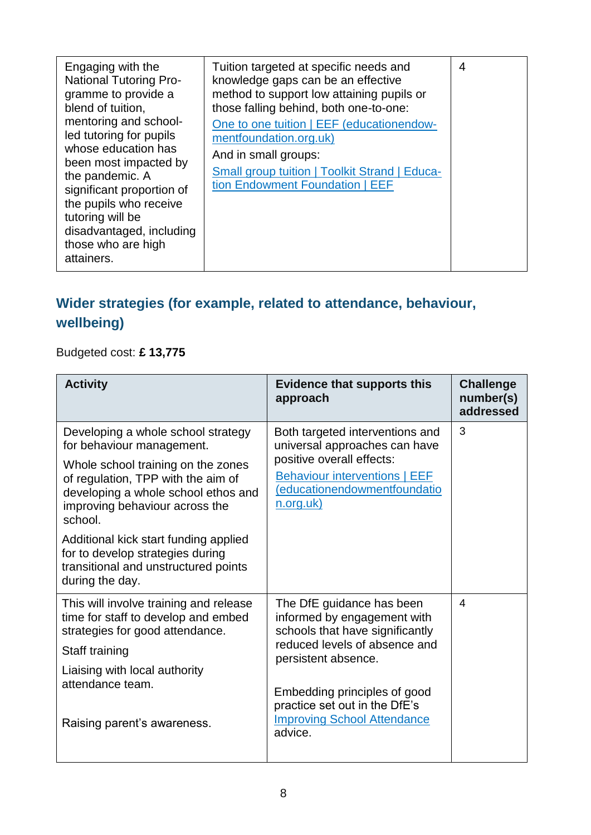| Engaging with the<br><b>National Tutoring Pro-</b><br>gramme to provide a<br>blend of tuition,<br>mentoring and school-<br>led tutoring for pupils<br>whose education has<br>been most impacted by<br>the pandemic. A<br>significant proportion of<br>the pupils who receive<br>tutoring will be<br>disadvantaged, including<br>those who are high<br>attainers. | Tuition targeted at specific needs and<br>knowledge gaps can be an effective<br>method to support low attaining pupils or<br>those falling behind, both one-to-one:<br>One to one tuition   EEF (educationendow-<br>mentfoundation.org.uk)<br>And in small groups:<br><b>Small group tuition   Toolkit Strand   Educa-</b><br>tion Endowment Foundation   EEF | $\overline{4}$ |
|------------------------------------------------------------------------------------------------------------------------------------------------------------------------------------------------------------------------------------------------------------------------------------------------------------------------------------------------------------------|---------------------------------------------------------------------------------------------------------------------------------------------------------------------------------------------------------------------------------------------------------------------------------------------------------------------------------------------------------------|----------------|
|------------------------------------------------------------------------------------------------------------------------------------------------------------------------------------------------------------------------------------------------------------------------------------------------------------------------------------------------------------------|---------------------------------------------------------------------------------------------------------------------------------------------------------------------------------------------------------------------------------------------------------------------------------------------------------------------------------------------------------------|----------------|

#### **Wider strategies (for example, related to attendance, behaviour, wellbeing)**

Budgeted cost: **£ 13,775**

| <b>Activity</b>                                                                                                                                                                                                                                                          | <b>Evidence that supports this</b><br>approach                                                                                                                                     | <b>Challenge</b><br>number(s)<br>addressed |
|--------------------------------------------------------------------------------------------------------------------------------------------------------------------------------------------------------------------------------------------------------------------------|------------------------------------------------------------------------------------------------------------------------------------------------------------------------------------|--------------------------------------------|
| Developing a whole school strategy<br>for behaviour management.<br>Whole school training on the zones<br>of regulation, TPP with the aim of<br>developing a whole school ethos and<br>improving behaviour across the<br>school.<br>Additional kick start funding applied | Both targeted interventions and<br>universal approaches can have<br>positive overall effects:<br><b>Behaviour interventions   EEF</b><br>(educationendowmentfoundatio<br>n.org.uk) | 3                                          |
| for to develop strategies during<br>transitional and unstructured points<br>during the day.                                                                                                                                                                              |                                                                                                                                                                                    |                                            |
| This will involve training and release<br>time for staff to develop and embed<br>strategies for good attendance.<br>Staff training                                                                                                                                       | The DfE guidance has been<br>informed by engagement with<br>schools that have significantly<br>reduced levels of absence and                                                       | 4                                          |
| Liaising with local authority<br>attendance team.<br>Raising parent's awareness.                                                                                                                                                                                         | persistent absence.<br>Embedding principles of good<br>practice set out in the DfE's<br><b>Improving School Attendance</b><br>advice.                                              |                                            |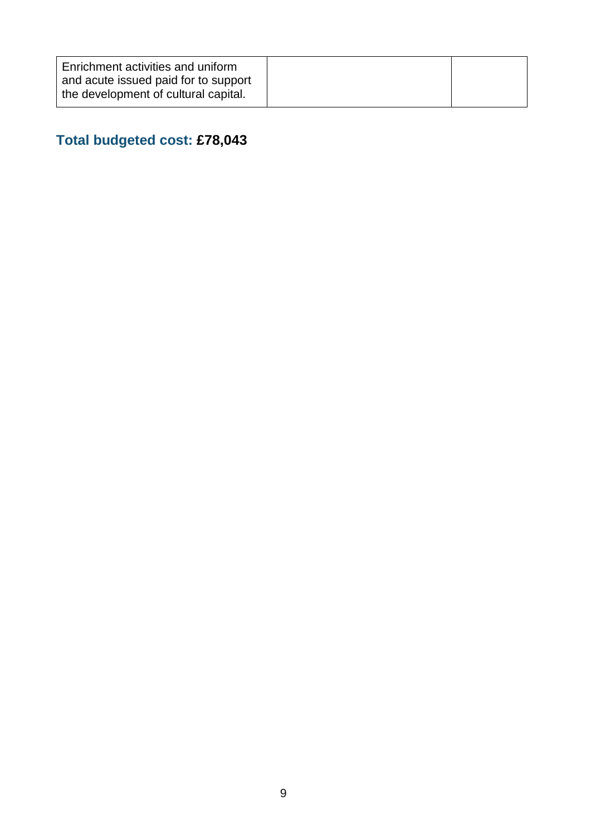| <b>Enrichment activities and uniform</b><br>and acute issued paid for to support |  |
|----------------------------------------------------------------------------------|--|
| the development of cultural capital.                                             |  |

# **Total budgeted cost: £78,043**